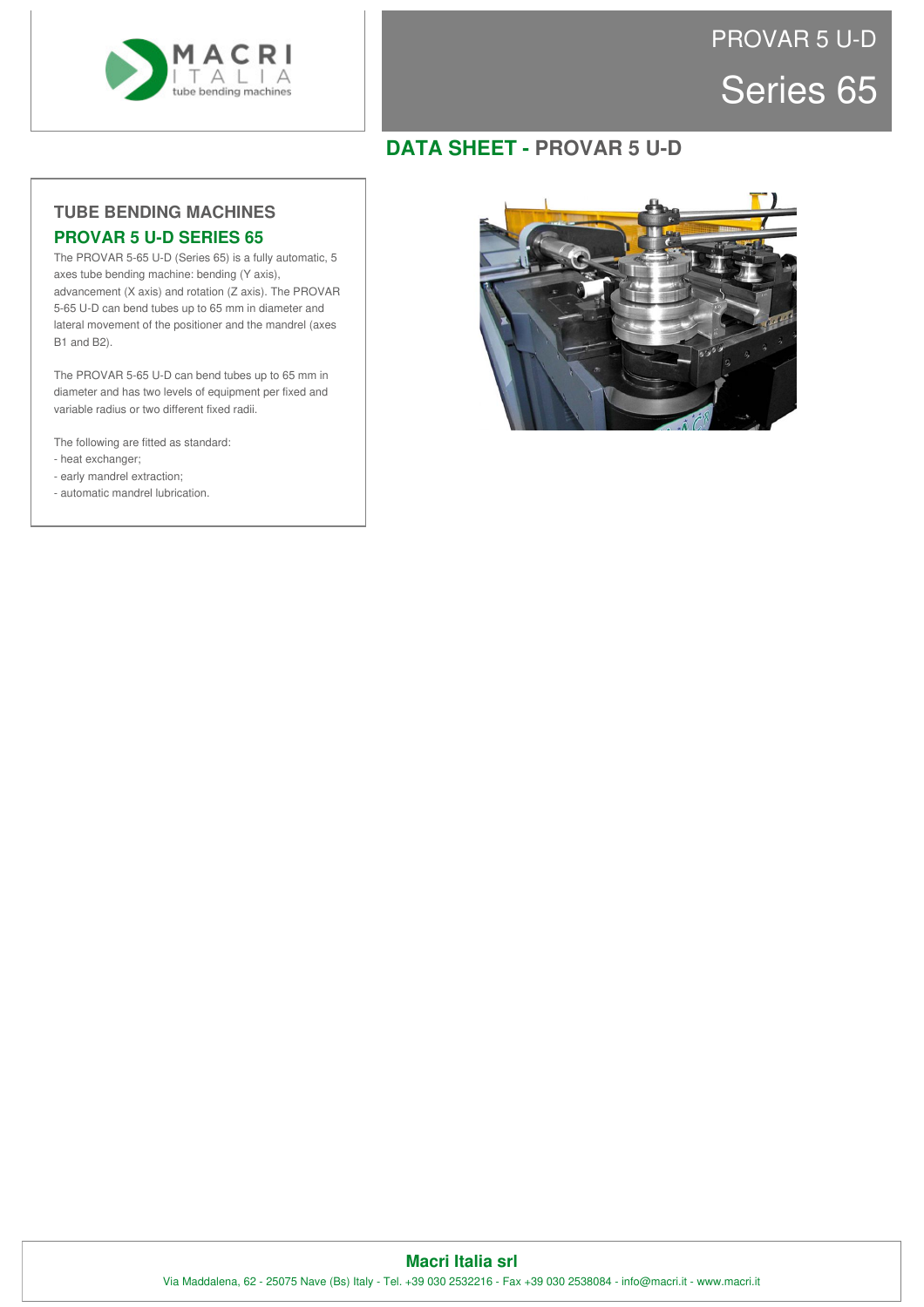

## Series 65 PROVAR 5 U-D

## **DATA SHEET - PROVAR 5 U-D**

### **TUBE BENDING MACHINES PROVAR 5 U-D SERIES 65**

The PROVAR 5-65 U-D (Series 65) is a fully automatic, 5 axes tube bending machine: bending (Y axis), advancement (X axis) and rotation (Z axis). The PROVAR 5-65 U-D can bend tubes up to 65 mm in diameter and lateral movement of the positioner and the mandrel (axes B1 and B2).

The PROVAR 5-65 U-D can bend tubes up to 65 mm in diameter and has two levels of equipment per fixed and variable radius or two different fixed radii.

The following are fitted as standard:

- heat exchanger;
- early mandrel extraction;
- automatic mandrel lubrication.



#### **Macri Italia srl** Via Maddalena, 62 - 25075 Nave (Bs) Italy - Tel. +39 030 2532216 - Fax +39 030 2538084 - info@macri.it - www.macri.it